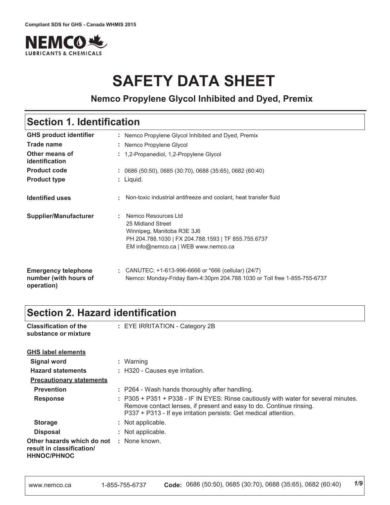

# **SAFETY DATA SHEET**

### **Nemco Propylene Glycol Inhibited and Dyed, Premix**

### **Section 1. Identification**

| <b>GHS product identifier</b>                                     | : Nemco Propylene Glycol Inhibited and Dyed, Premix                                                                                                                  |
|-------------------------------------------------------------------|----------------------------------------------------------------------------------------------------------------------------------------------------------------------|
| Trade name                                                        | : Nemco Propylene Glycol                                                                                                                                             |
| Other means of<br>identification                                  | : 1,2-Propanediol, 1,2-Propylene Glycol                                                                                                                              |
| <b>Product code</b>                                               | $: 0686(50:50), 0685(30:70), 0688(35:65), 0682(60:40)$                                                                                                               |
| <b>Product type</b>                                               | $:$ Liquid.                                                                                                                                                          |
| <b>Identified uses</b>                                            | Non-toxic industrial antifreeze and coolant, heat transfer fluid                                                                                                     |
| <b>Supplier/Manufacturer</b>                                      | Nemco Resources Ltd<br>25 Midland Street<br>Winnipeg, Manitoba R3E 3J6<br>PH 204.788.1030   FX 204.788.1593   TF 855.755.6737<br>EM info@nemco.ca   WEB www.nemco.ca |
| <b>Emergency telephone</b><br>number (with hours of<br>operation) | : CANUTEC: $+1-613-996-6666$ or $*666$ (cellular) (24/7)<br>Nemco: Monday-Friday 8am-4:30pm 204.788.1030 or Toll free 1-855-755-6737                                 |

### **Section 2. Hazard identification**

| <b>Classification of the</b><br>substance or mixture                          | : EYE IRRITATION - Category 2B                                                                                                                                                                                                 |
|-------------------------------------------------------------------------------|--------------------------------------------------------------------------------------------------------------------------------------------------------------------------------------------------------------------------------|
| <b>GHS label elements</b>                                                     |                                                                                                                                                                                                                                |
| <b>Signal word</b>                                                            | : Warning                                                                                                                                                                                                                      |
| <b>Hazard statements</b>                                                      | : H320 - Causes eye irritation.                                                                                                                                                                                                |
| <b>Precautionary statements</b>                                               |                                                                                                                                                                                                                                |
| <b>Prevention</b>                                                             | : P264 - Wash hands thoroughly after handling.                                                                                                                                                                                 |
| <b>Response</b>                                                               | : P305 + P351 + P338 - IF IN EYES: Rinse cautiously with water for several minutes.<br>Remove contact lenses, if present and easy to do. Continue rinsing.<br>P337 + P313 - If eye irritation persists: Get medical attention. |
| <b>Storage</b>                                                                | : Not applicable.                                                                                                                                                                                                              |
| <b>Disposal</b>                                                               | : Not applicable.                                                                                                                                                                                                              |
| Other hazards which do not<br>result in classification/<br><b>HHNOC/PHNOC</b> | : None known.                                                                                                                                                                                                                  |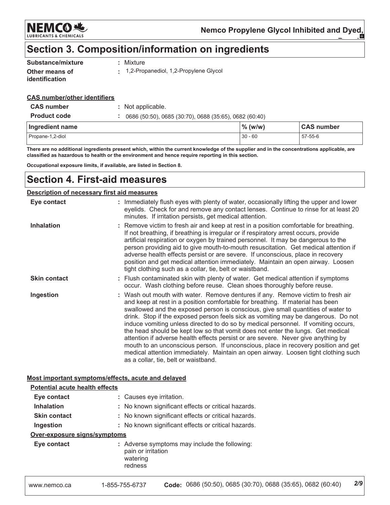

**CAS number** 

 $57 - 55 - 6$ 

### Section 3. Composition/information on ingredients

| Substance/mixture                       | : Mixture                             |
|-----------------------------------------|---------------------------------------|
| Other means of<br><b>identification</b> | 1,2-Propanediol, 1,2-Propylene Glycol |

#### **CAS number/other identifiers**

| <b>CAS number</b>   | : Not applicable.                                      |            |
|---------------------|--------------------------------------------------------|------------|
| <b>Product code</b> | 0686 (50:50), 0685 (30:70), 0688 (35:65), 0682 (60:40) |            |
| Ingredient name     |                                                        | $\%$ (w/w) |
| Propane-1,2-diol    |                                                        | $30 - 60$  |

There are no additional ingredients present which, within the current knowledge of the supplier and in the concentrations applicable, are classified as hazardous to health or the environment and hence require reporting in this section.

Occupational exposure limits, if available, are listed in Section 8.

### **Section 4. First-aid measures**

#### **Description of necessary first aid measures**

| Eye contact         | : Immediately flush eyes with plenty of water, occasionally lifting the upper and lower<br>eyelids. Check for and remove any contact lenses. Continue to rinse for at least 20<br>minutes. If irritation persists, get medical attention.                                                                                                                                                                                                                                                                                                                                                                                                                                                                                                                                                                                    |
|---------------------|------------------------------------------------------------------------------------------------------------------------------------------------------------------------------------------------------------------------------------------------------------------------------------------------------------------------------------------------------------------------------------------------------------------------------------------------------------------------------------------------------------------------------------------------------------------------------------------------------------------------------------------------------------------------------------------------------------------------------------------------------------------------------------------------------------------------------|
| <b>Inhalation</b>   | : Remove victim to fresh air and keep at rest in a position comfortable for breathing.<br>If not breathing, if breathing is irregular or if respiratory arrest occurs, provide<br>artificial respiration or oxygen by trained personnel. It may be dangerous to the<br>person providing aid to give mouth-to-mouth resuscitation. Get medical attention if<br>adverse health effects persist or are severe. If unconscious, place in recovery<br>position and get medical attention immediately. Maintain an open airway. Loosen<br>tight clothing such as a collar, tie, belt or waistband.                                                                                                                                                                                                                                 |
| <b>Skin contact</b> | : Flush contaminated skin with plenty of water. Get medical attention if symptoms<br>occur. Wash clothing before reuse. Clean shoes thoroughly before reuse.                                                                                                                                                                                                                                                                                                                                                                                                                                                                                                                                                                                                                                                                 |
| Ingestion           | : Wash out mouth with water. Remove dentures if any. Remove victim to fresh air<br>and keep at rest in a position comfortable for breathing. If material has been<br>swallowed and the exposed person is conscious, give small quantities of water to<br>drink. Stop if the exposed person feels sick as vomiting may be dangerous. Do not<br>induce vomiting unless directed to do so by medical personnel. If vomiting occurs,<br>the head should be kept low so that vomit does not enter the lungs. Get medical<br>attention if adverse health effects persist or are severe. Never give anything by<br>mouth to an unconscious person. If unconscious, place in recovery position and get<br>medical attention immediately. Maintain an open airway. Loosen tight clothing such<br>as a collar, tie, belt or waistband. |

#### Most important symptoms/effects, acute and delayed

| <b>Potential acute health effects</b> |                                                                                            |     |
|---------------------------------------|--------------------------------------------------------------------------------------------|-----|
| Eye contact                           | : Causes eye irritation.                                                                   |     |
| <b>Inhalation</b>                     | : No known significant effects or critical hazards.                                        |     |
| <b>Skin contact</b>                   | : No known significant effects or critical hazards.                                        |     |
| Ingestion                             | : No known significant effects or critical hazards.                                        |     |
| Over-exposure signs/symptoms          |                                                                                            |     |
| Eye contact                           | : Adverse symptoms may include the following:<br>pain or irritation<br>watering<br>redness |     |
| www.nemco.ca                          | Code: 0686 (50:50), 0685 (30:70), 0688 (35:65), 0682 (60:40)<br>1-855-755-6737             | 2/9 |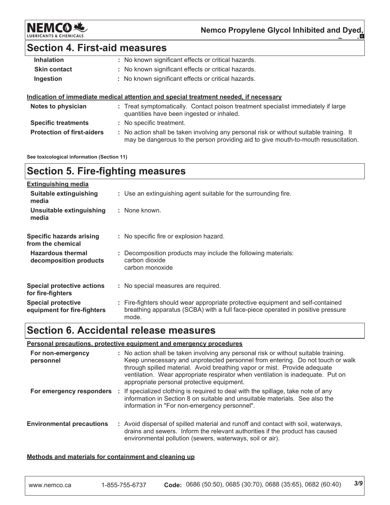NEMCOR.

Nemco Propylene Glycol Inhibited and Dyed,

### **Section 4. First-aid measures**

| <b>Inhalation</b>   | : No known significant effects or critical hazards.                                                                            |
|---------------------|--------------------------------------------------------------------------------------------------------------------------------|
| <b>Skin contact</b> | : No known significant effects or critical hazards.                                                                            |
| Ingestion           | : No known significant effects or critical hazards.                                                                            |
|                     |                                                                                                                                |
|                     | Indication of immediate medical attention and special treatment needed, if necessary                                           |
| Notes to physician  | : Treat symptomatically. Contact poison treatment specialist immediately if large<br>quantities have been ingested or inhaled. |

: No action shall be taken involving any personal risk or without suitable training. It may be dangerous to the person providing aid to give mouth-to-mouth resuscitation.

See toxicological information (Section 11)

**Protection of first-aiders** 

### **Section 5. Fire-fighting measures**

| <b>Extinguishing media</b>                               |                                                                                                                                                                             |
|----------------------------------------------------------|-----------------------------------------------------------------------------------------------------------------------------------------------------------------------------|
| Suitable extinguishing<br>media                          | : Use an extinguishing agent suitable for the surrounding fire.                                                                                                             |
| Unsuitable extinguishing<br>media                        | : None known.                                                                                                                                                               |
| <b>Specific hazards arising</b><br>from the chemical     | : No specific fire or explosion hazard.                                                                                                                                     |
| <b>Hazardous thermal</b><br>decomposition products       | : Decomposition products may include the following materials:<br>carbon dioxide<br>carbon monoxide                                                                          |
| <b>Special protective actions</b><br>for fire-fighters   | : No special measures are required.                                                                                                                                         |
| <b>Special protective</b><br>equipment for fire-fighters | : Fire-fighters should wear appropriate protective equipment and self-contained<br>breathing apparatus (SCBA) with a full face-piece operated in positive pressure<br>mode. |

### **Section 6. Accidental release measures**

#### Personal precautions, protective equipment and emergency procedures

| For non-emergency<br>personnel   | : No action shall be taken involving any personal risk or without suitable training.<br>Keep unnecessary and unprotected personnel from entering. Do not touch or walk<br>through spilled material. Avoid breathing vapor or mist. Provide adequate<br>ventilation. Wear appropriate respirator when ventilation is inadequate. Put on<br>appropriate personal protective equipment. |
|----------------------------------|--------------------------------------------------------------------------------------------------------------------------------------------------------------------------------------------------------------------------------------------------------------------------------------------------------------------------------------------------------------------------------------|
| For emergency responders         | : If specialized clothing is required to deal with the spillage, take note of any<br>information in Section 8 on suitable and unsuitable materials. See also the<br>information in "For non-emergency personnel".                                                                                                                                                                    |
| <b>Environmental precautions</b> | : Avoid dispersal of spilled material and runoff and contact with soil, waterways,<br>drains and sewers. Inform the relevant authorities if the product has caused<br>environmental pollution (sewers, waterways, soil or air).                                                                                                                                                      |

#### Methods and materials for containment and cleaning up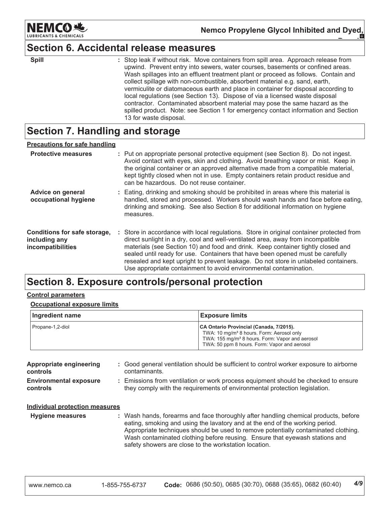

### **Section 6. Accidental release measures**

| ۰. |  |  |  |
|----|--|--|--|

: Stop leak if without risk. Move containers from spill area. Approach release from upwind. Prevent entry into sewers, water courses, basements or confined areas. Wash spillages into an effluent treatment plant or proceed as follows. Contain and collect spillage with non-combustible, absorbent material e.g. sand, earth, vermiculite or diatomaceous earth and place in container for disposal according to local regulations (see Section 13). Dispose of via a licensed waste disposal contractor. Contaminated absorbent material may pose the same hazard as the spilled product. Note: see Section 1 for emergency contact information and Section 13 for waste disposal.

### Section 7. Handling and storage

#### **Precautions for safe handling Protective measures** : Put on appropriate personal protective equipment (see Section 8). Do not ingest. Avoid contact with eyes, skin and clothing. Avoid breathing vapor or mist. Keep in the original container or an approved alternative made from a compatible material. kept tightly closed when not in use. Empty containers retain product residue and can be hazardous. Do not reuse container. Advice on general : Eating, drinking and smoking should be prohibited in areas where this material is occupational hygiene handled, stored and processed. Workers should wash hands and face before eating, drinking and smoking. See also Section 8 for additional information on hygiene measures. Conditions for safe storage, : Store in accordance with local regulations. Store in original container protected from direct sunlight in a dry, cool and well-ventilated area, away from incompatible including any materials (see Section 10) and food and drink. Keep container tightly closed and incompatibilities sealed until ready for use. Containers that have been opened must be carefully resealed and kept upright to prevent leakage. Do not store in unlabeled containers. Use appropriate containment to avoid environmental contamination.

### Section 8. Exposure controls/personal protection

#### **Control parameters**

#### **Occupational exposure limits**

| Ingredient name  | <b>Exposure limits</b>                                                                                                                                                                                          |
|------------------|-----------------------------------------------------------------------------------------------------------------------------------------------------------------------------------------------------------------|
| Propane-1,2-diol | CA Ontario Provincial (Canada, 7/2015).<br>TWA: 10 mg/m <sup>3</sup> 8 hours. Form: Aerosol only<br>TWA: 155 mg/m <sup>3</sup> 8 hours. Form: Vapor and aerosol<br>TWA: 50 ppm 8 hours. Form: Vapor and aerosol |

| Appropriate engineering<br>controls              | : Good general ventilation should be sufficient to control worker exposure to airborne<br>contaminants.                                                        |
|--------------------------------------------------|----------------------------------------------------------------------------------------------------------------------------------------------------------------|
| <b>Environmental exposure</b><br><b>controls</b> | Emissions from ventilation or work process equipment should be checked to ensure<br>they comply with the requirements of environmental protection legislation. |
| <b>Individual protection measures</b>            |                                                                                                                                                                |

**Hygiene measures** : Wash hands, forearms and face thoroughly after handling chemical products, before eating, smoking and using the lavatory and at the end of the working period. Appropriate techniques should be used to remove potentially contaminated clothing. Wash contaminated clothing before reusing. Ensure that eyewash stations and safety showers are close to the workstation location.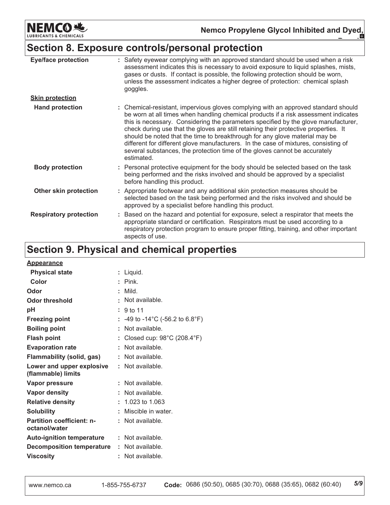**NEMCO地** LUBRIC CHEMICALS

## Section 8. Exposure controls/personal protection

| <b>Eye/face protection</b>    | : Safety eyewear complying with an approved standard should be used when a risk<br>assessment indicates this is necessary to avoid exposure to liquid splashes, mists,<br>gases or dusts. If contact is possible, the following protection should be worn,<br>unless the assessment indicates a higher degree of protection: chemical splash<br>goggles.                                                                                                                                                                                                                                                                  |
|-------------------------------|---------------------------------------------------------------------------------------------------------------------------------------------------------------------------------------------------------------------------------------------------------------------------------------------------------------------------------------------------------------------------------------------------------------------------------------------------------------------------------------------------------------------------------------------------------------------------------------------------------------------------|
| <b>Skin protection</b>        |                                                                                                                                                                                                                                                                                                                                                                                                                                                                                                                                                                                                                           |
| <b>Hand protection</b>        | : Chemical-resistant, impervious gloves complying with an approved standard should<br>be worn at all times when handling chemical products if a risk assessment indicates<br>this is necessary. Considering the parameters specified by the glove manufacturer,<br>check during use that the gloves are still retaining their protective properties. It<br>should be noted that the time to breakthrough for any glove material may be<br>different for different glove manufacturers. In the case of mixtures, consisting of<br>several substances, the protection time of the gloves cannot be accurately<br>estimated. |
| <b>Body protection</b>        | : Personal protective equipment for the body should be selected based on the task<br>being performed and the risks involved and should be approved by a specialist<br>before handling this product.                                                                                                                                                                                                                                                                                                                                                                                                                       |
| Other skin protection         | : Appropriate footwear and any additional skin protection measures should be<br>selected based on the task being performed and the risks involved and should be<br>approved by a specialist before handling this product.                                                                                                                                                                                                                                                                                                                                                                                                 |
| <b>Respiratory protection</b> | Based on the hazard and potential for exposure, select a respirator that meets the<br>appropriate standard or certification. Respirators must be used according to a<br>respiratory protection program to ensure proper fitting, training, and other important<br>aspects of use.                                                                                                                                                                                                                                                                                                                                         |

### Section 9. Physical and chemical properties

| <b>Appearance</b>                                 |    |                                 |
|---------------------------------------------------|----|---------------------------------|
| <b>Physical state</b>                             |    | : Liquid.                       |
| Color                                             |    | $\therefore$ Pink.              |
| Odor                                              |    | : Mild.                         |
| <b>Odor threshold</b>                             |    | Not available.                  |
| рH                                                |    | 9 <sub>to</sub> 11              |
| <b>Freezing point</b>                             |    | : -49 to -14°C (-56.2 to 6.8°F) |
| <b>Boiling point</b>                              | ÷. | Not available.                  |
| <b>Flash point</b>                                |    | Closed cup: 98°C (208.4°F)      |
| <b>Evaporation rate</b>                           |    | Not available.                  |
| <b>Flammability (solid, gas)</b>                  |    | Not available.                  |
| Lower and upper explosive<br>(flammable) limits   |    | : Not available.                |
| Vapor pressure                                    |    | : Not available.                |
| <b>Vapor density</b>                              |    | Not available.                  |
| <b>Relative density</b>                           |    | $: 1.023$ to 1.063              |
| <b>Solubility</b>                                 |    | Miscible in water.              |
| <b>Partition coefficient: n-</b><br>octanol/water |    | : Not available.                |
| <b>Auto-ignition temperature</b>                  |    | : Not available.                |
| <b>Decomposition temperature</b>                  |    | Not available.                  |
| <b>Viscosity</b>                                  |    | Not available.                  |
|                                                   |    |                                 |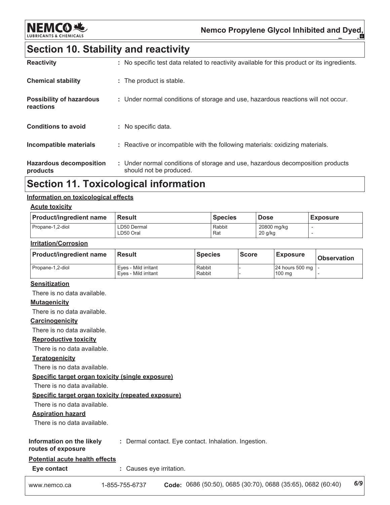

### **Section 10. Stability and reactivity**

| <b>Reactivity</b>                            | : No specific test data related to reactivity available for this product or its ingredients.              |
|----------------------------------------------|-----------------------------------------------------------------------------------------------------------|
| <b>Chemical stability</b>                    | : The product is stable.                                                                                  |
| <b>Possibility of hazardous</b><br>reactions | : Under normal conditions of storage and use, hazardous reactions will not occur.                         |
| <b>Conditions to avoid</b>                   | : No specific data.                                                                                       |
| Incompatible materials                       | : Reactive or incompatible with the following materials: oxidizing materials.                             |
| <b>Hazardous decomposition</b><br>products   | : Under normal conditions of storage and use, hazardous decomposition products<br>should not be produced. |

### **Section 11. Toxicological information**

#### Information on toxicological effects

#### **Acute toxicity**

| <b>Product/ingredient name</b> | l Result                 | <b>Species</b> | l Dose                 | <b>Exposure</b> |
|--------------------------------|--------------------------|----------------|------------------------|-----------------|
| Propane-1,2-diol               | LD50 Dermal<br>LD50 Oral | Rabbit<br>Rat  | 20800 mg/kg<br>20 g/kg |                 |

#### **Irritation/Corrosion**

| <b>Product/ingredient name</b> | <b>Result</b>                                | <b>Species</b>   | <b>Score</b> | <b>Exposure</b>               | <b>Observation</b> |
|--------------------------------|----------------------------------------------|------------------|--------------|-------------------------------|--------------------|
| Propane-1,2-diol               | Eves - Mild irritant<br>Eves - Mild irritant | Rabbit<br>Rabbit |              | 24 hours 500 mg   -<br>100 ma |                    |

#### **Sensitization**

There is no data available.

#### **Mutagenicity**

There is no data available.

#### Carcinogenicity

There is no data available.

#### **Reproductive toxicity**

There is no data available.

#### **Teratogenicity**

There is no data available.

Specific target organ toxicity (single exposure)

There is no data available.

#### Specific target organ toxicity (repeated exposure)

There is no data available.

#### **Aspiration hazard**

There is no data available.

#### Information on the likely : Dermal contact. Eye contact. Inhalation. Ingestion.

routes of exposure

#### Potential acute health effects

Eye contact : Causes eye irritation.

| 1-855-755-6737<br>www.nemco.ca | 0686 (50:50), 0685 (30:70), 0688 (35:65), 0682 (60:40) | 6/9 |
|--------------------------------|--------------------------------------------------------|-----|
|--------------------------------|--------------------------------------------------------|-----|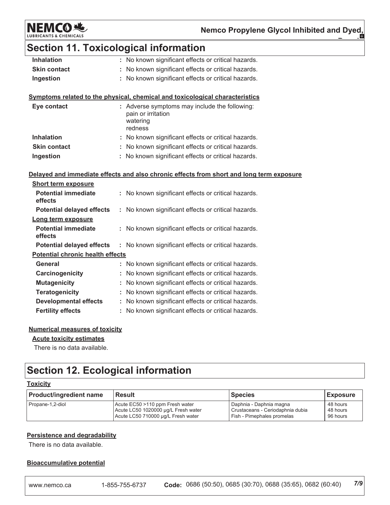**NEMCO 地** LUBRIC

### **Section 11. Toxicological information**

| <b>Inhalation</b>   | : No known significant effects or critical hazards. |
|---------------------|-----------------------------------------------------|
| <b>Skin contact</b> | : No known significant effects or critical hazards. |
| Ingestion           | : No known significant effects or critical hazards. |

#### Symptoms related to the physical, chemical and toxicological characteristics

| Eye contact         | : Adverse symptoms may include the following:<br>pain or irritation<br>watering<br>redness |
|---------------------|--------------------------------------------------------------------------------------------|
| <b>Inhalation</b>   | : No known significant effects or critical hazards.                                        |
| <b>Skin contact</b> | : No known significant effects or critical hazards.                                        |
| Ingestion           | : No known significant effects or critical hazards.                                        |

#### Delayed and immediate effects and also chronic effects from short and long term exposure

| <b>Short term exposure</b>            |                                                         |  |  |  |  |
|---------------------------------------|---------------------------------------------------------|--|--|--|--|
| <b>Potential immediate</b><br>effects | No known significant effects or critical hazards.<br>t. |  |  |  |  |
| <b>Potential delayed effects</b>      | : No known significant effects or critical hazards.     |  |  |  |  |
| Long term exposure                    |                                                         |  |  |  |  |
| Potential immediate<br>effects        | No known significant effects or critical hazards.       |  |  |  |  |
| <b>Potential delayed effects</b>      | : No known significant effects or critical hazards.     |  |  |  |  |
|                                       | <b>Potential chronic health effects</b>                 |  |  |  |  |
| General                               | No known significant effects or critical hazards.       |  |  |  |  |
| Carcinogenicity                       | : No known significant effects or critical hazards.     |  |  |  |  |
| <b>Mutagenicity</b>                   | No known significant effects or critical hazards.       |  |  |  |  |
| <b>Teratogenicity</b>                 | : No known significant effects or critical hazards.     |  |  |  |  |
| <b>Developmental effects</b>          | No known significant effects or critical hazards.<br>t. |  |  |  |  |
| <b>Fertility effects</b>              | No known significant effects or critical hazards.       |  |  |  |  |

#### **Numerical measures of toxicity**

#### **Acute toxicity estimates**

There is no data available.

### **Section 12. Ecological information**

#### **Toxicity**

| <b>Product/ingredient name</b> | <b>Result</b>                       | <b>Species</b>                   | <b>Exposure</b> |
|--------------------------------|-------------------------------------|----------------------------------|-----------------|
| Propane-1,2-diol               | Acute EC50 >110 ppm Fresh water     | Daphnia - Daphnia magna          | 48 hours        |
|                                | Acute LC50 1020000 µg/L Fresh water | Crustaceans - Ceriodaphnia dubia | 48 hours        |
|                                | Acute LC50 710000 µg/L Fresh water  | Fish - Pimephales promelas       | 96 hours        |

#### **Persistence and degradability**

There is no data available.

#### **Bioaccumulative potential**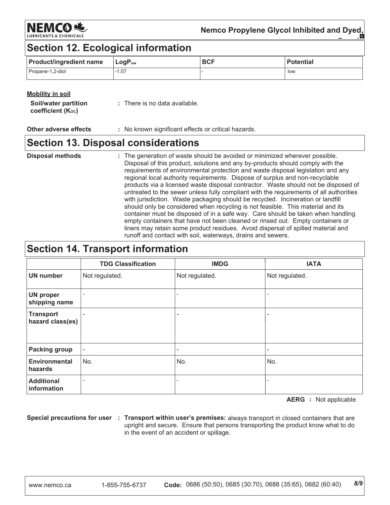NEMCOR.

### Nemco Propylene Glycol Inhibited and Dyed,

### **Section 12. Ecological information**

| <b>Product/ingredient name</b> | $\mathsf{LogP}_\mathsf{ow}$ | <b>BCF</b> | <b>Potential</b> |
|--------------------------------|-----------------------------|------------|------------------|
| Propane-1,2-diol               | .07                         |            | low              |

#### **Mobility in soil**

**Other adverse effects** : No known significant effects or critical hazards.

### **Section 13. Disposal considerations**

#### : The generation of waste should be avoided or minimized wherever possible. **Disposal methods** Disposal of this product, solutions and any by-products should comply with the requirements of environmental protection and waste disposal legislation and any regional local authority requirements. Dispose of surplus and non-recyclable products via a licensed waste disposal contractor. Waste should not be disposed of untreated to the sewer unless fully compliant with the requirements of all authorities with jurisdiction. Waste packaging should be recycled. Incineration or landfill should only be considered when recycling is not feasible. This material and its container must be disposed of in a safe way. Care should be taken when handling empty containers that have not been cleaned or rinsed out. Empty containers or liners may retain some product residues. Avoid dispersal of spilled material and runoff and contact with soil, waterways, drains and sewers.

### **Section 14. Transport information**

|                                      | <b>TDG Classification</b> | <b>IMDG</b>              | <b>IATA</b>    |
|--------------------------------------|---------------------------|--------------------------|----------------|
| <b>UN number</b>                     | Not regulated.            | Not regulated.           | Not regulated. |
| <b>UN proper</b><br>shipping name    |                           |                          |                |
| <b>Transport</b><br>hazard class(es) |                           | $\overline{\phantom{a}}$ |                |
| <b>Packing group</b>                 | $\overline{\phantom{a}}$  | $\overline{\phantom{a}}$ |                |
| <b>Environmental</b><br>hazards      | No.                       | No.                      | No.            |
| <b>Additional</b><br>information     |                           |                          |                |

**AERG** : Not applicable

Special precautions for user : Transport within user's premises: always transport in closed containers that are upright and secure. Ensure that persons transporting the product know what to do in the event of an accident or spillage.

 $8/9$